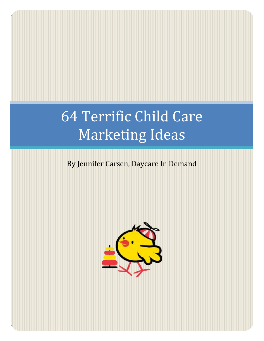# 64 Terrific Child Care Marketing Ideas

## By Jennifer Carsen, Daycare In Demand

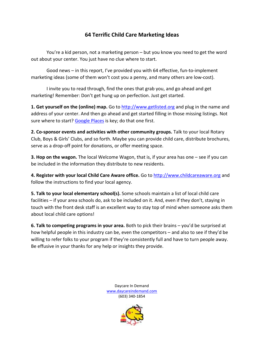### **64 Terrific Child Care Marketing Ideas**

You're a kid person, not a marketing person – but you know you need to get the word out about your center. You just have no clue where to start.

Good news – in this report, I've provided you with 64 effective, fun-to-implement marketing ideas (some of them won't cost you a penny, and many others are low-cost).

I invite you to read through, find the ones that grab you, and go ahead and get marketing! Remember: Don't get hung up on perfection. Just get started.

**1. Get yourself on the (online) map.** Go to [http://www.getlisted.org](http://www.getlisted.org/) and plug in the name and address of your center. And then go ahead and get started filling in those missing listings. Not sure where to start? [Google Places](https://www.google.com/business/placesforbusiness/) is key; do that one first.

**2. Co-sponsor events and activities with other community groups.** Talk to your local Rotary Club, Boys & Girls' Clubs, and so forth. Maybe you can provide child care, distribute brochures, serve as a drop-off point for donations, or offer meeting space.

**3. Hop on the wagon.** The local Welcome Wagon, that is, if your area has one – see if you can be included in the information they distribute to new residents.

**4. Register with your local Child Care Aware office.** Go to [http://www.childcareaware.org](http://www.childcareaware.org/) and follow the instructions to find your local agency.

**5. Talk to your local elementary school(s).** Some schools maintain a list of local child care facilities – if your area schools do, ask to be included on it. And, even if they don't, staying in touch with the front desk staff is an excellent way to stay top of mind when someone asks them about local child care options!

**6. Talk to competing programs in your area.** Both to pick their brains – you'd be surprised at how helpful people in this industry can be, even the competitors – and also to see if they'd be willing to refer folks to your program if they're consistently full and have to turn people away. Be effusive in your thanks for any help or insights they provide.

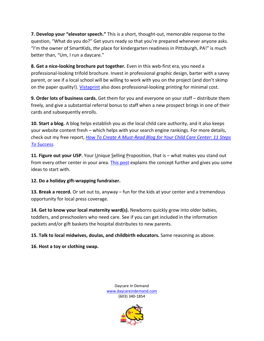**7. Develop your "elevator speech."** This is a short, thought-out, memorable response to the question, "What do you do?" Get yours ready so that you're prepared whenever anyone asks. "I'm the owner of SmartKids, *the* place for kindergarten readiness in Pittsburgh, PA!" is much better than, "Um, I run a daycare."

**8. Get a nice-looking brochure put together.** Even in this web-first era, you need a professional-looking trifold brochure. Invest in professional graphic design, barter with a savvy parent, or see if a local school will be willing to work with you on the project (and don't skimp on the paper quality!). [Vistaprint](http://www.vistaprint.com/) also does professional-looking printing for minimal cost.

**9. Order lots of business cards.** Get them for you and everyone on your staff – distribute them freely, and give a substantial referral bonus to staff when a new prospect brings in one of their cards and subsequently enrolls.

**10. Start a blog.** A blog helps establish you as *the* local child care authority, and it also keeps your website content fresh – which helps with your search engine rankings. For more details, check out my free report, *[How To Create A Must-Read Blog for Your Child Care Center: 11 Steps](http://www.daycareindemand.com/blogsuccess/)  [To Success.](http://www.daycareindemand.com/blogsuccess/)*

**11. Figure out your USP.** Your *Unique Selling Proposition*, that is – what makes you stand out from every other center in your area. [This post](http://www.daycareindemand.com/q-what-do-your-child-care-center-and-pork-bellies-have-in-common/) explains the concept further and gives you some ideas to start with.

#### **12. Do a holiday gift-wrapping fundraiser.**

**13. Break a record.** Or set out to, anyway – fun for the kids at your center and a tremendous opportunity for local press coverage.

**14. Get to know your local maternity ward(s).** Newborns quickly grow into older babies, toddlers, and preschoolers who need care. See if you can get included in the information packets and/or gift baskets the hospital distributes to new parents.

**15. Talk to local midwives, doulas, and childbirth educators.** Same reasoning as above.

**16. Host a toy or clothing swap.** 

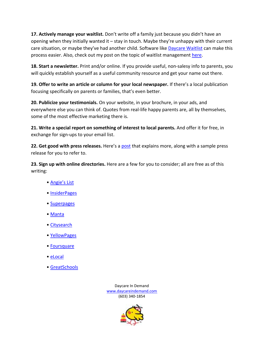**17. Actively manage your waitlist.** Don't write off a family just because you didn't have an opening when they initially wanted it – stay in touch. Maybe they're unhappy with their current care situation, or maybe they've had another child. Software like [Daycare Waitlist](http://www.daycarewaitlist.com/) can make this process easier. Also, check out my post on the topic of waitlist management [here.](http://www.daycareindemand.com/how-to-manage-your-waiting-list-9-tips-for-success/)

**18. Start a newsletter.** Print and/or online. If you provide useful, non-salesy info to parents, you will quickly establish yourself as a useful community resource and get your name out there.

**19. Offer to write an article or column for your local newspaper.** If there's a local publication focusing specifically on parents or families, that's even better.

**20. Publicize your testimonials.** On your website, in your brochure, in your ads, and everywhere else you can think of. Quotes from real-life happy parents are, all by themselves, some of the most effective marketing there is.

**21. Write a special report on something of interest to local parents.** And offer it for free, in exchange for sign-ups to your email list.

**22. Get good with press releases.** Here's a [post](http://www.daycareindemand.com/how-to-write-a-great-press-release-for-your-child-care-center/) that explains more, along with a sample press release for you to refer to.

**23. Sign up with online directories.** Here are a few for you to consider; all are free as of this writing:

- • [Angie's List](http://www.angieslist.com/)
- • [InsiderPages](http://www.insiderpages.com/)
- • [Superpages](http://www.superpages.com/)
- • [Manta](http://www.manta.com/)
- • [Citysearch](http://www.citysearch.com/)
- • [YellowPages](http://www.yellowpages.com/)
- • [Foursquare](https://foursquare.com/)
- • [eLocal](http://www.elocal.com/)
- • [GreatSchools](http://www.greatschools.org/)

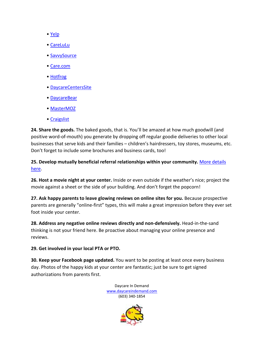- • [Yelp](http://www.yelp.com/)
- • [CareLuLu](http://carelulu.com/)
- • [SavvySource](http://www.savvysource.com/)
- • [Care.com](http://www.care.com/)
- • [Hotfrog](http://www.hotfrog.com/)
- • [DaycareCentersSite](http://daycarecenterssite.com/)
- • [DaycareBear](http://www.daycarebear.com/)
- • [MasterMOZ](http://mastermoz.com/)
- • [Craigslist](http://www.craigslist.org/)

**24. Share the goods.** The baked goods, that is. You'll be amazed at how much goodwill (and positive word-of-mouth) you generate by dropping off regular goodie deliveries to other local businesses that serve kids and their families – children's hairdressers, toy stores, museums, etc. Don't forget to include some brochures and business cards, too!

**25. Develop mutually beneficial referral relationships within your community.** [More details](http://www.daycareindemand.com/if-youre-not-already-doing-this-you-should-be/)  [here.](http://www.daycareindemand.com/if-youre-not-already-doing-this-you-should-be/)

**26. Host a movie night at your center.** Inside or even outside if the weather's nice; project the movie against a sheet or the side of your building. And don't forget the popcorn!

**27. Ask happy parents to leave glowing reviews on online sites for you.** Because prospective parents are generally "online-first" types, this will make a great impression before they ever set foot inside your center.

**28. Address any negative online reviews directly and non-defensively.** Head-in-the-sand thinking is not your friend here. Be proactive about managing your online presence and reviews.

**29. Get involved in your local PTA or PTO.**

**30. Keep your Facebook page updated.** You want to be posting at least once every business day. Photos of the happy kids at your center are fantastic; just be sure to get signed authorizations from parents first.

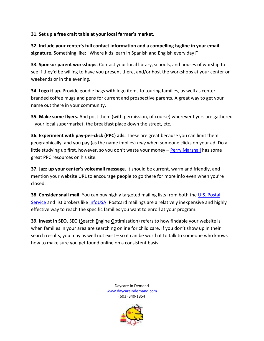#### **31. Set up a free craft table at your local farmer's market.**

**32. Include your center's full contact information and a compelling tagline in your email signature.** Something like: "Where kids learn in Spanish and English every day!"

**33. Sponsor parent workshops.** Contact your local library, schools, and houses of worship to see if they'd be willing to have you present there, and/or host the workshops at your center on weekends or in the evening.

**34. Logo it up.** Provide goodie bags with logo items to touring families, as well as centerbranded coffee mugs and pens for current and prospective parents. A great way to get your name out there in your community.

**35. Make some flyers.** And post them (with permission, of course) wherever flyers are gathered – your local supermarket, the breakfast place down the street, etc.

**36. Experiment with pay-per-click (PPC) ads.** These are great because you can limit them geographically, and you pay (as the name implies) *only* when someone clicks on your ad. Do a little studying up first, however, so you don't waste your money – [Perry Marshall](http://www.perrymarshall.com/google/) has some great PPC resources on his site.

**37. Jazz up your center's voicemail message.** It should be current, warm and friendly, and mention your website URL to encourage people to go there for more info even when you're closed.

**38. Consider snail mail.** You can buy highly targeted mailing lists from both the U.S. Postal [Service](https://www.usps.com/business/every-door-direct-mail.htm) and list brokers like [InfoUSA.](http://www.infousa.com/) Postcard mailings are a relatively inexpensive and highly effective way to reach the specific families you want to enroll at your program.

**39. Invest in SEO.** SEO (Search Engine Optimization) refers to how findable your website is when families in your area are searching online for child care. If you don't show up in their search results, you may as well not exist – so it can be worth it to talk to someone who knows how to make sure you get found online on a consistent basis.

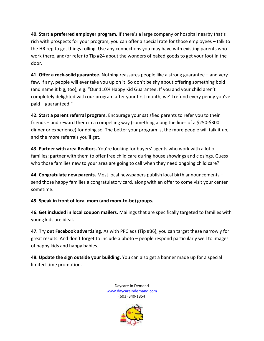**40. Start a preferred employer program.** If there's a large company or hospital nearby that's rich with prospects for your program, you can offer a special rate for those employees – talk to the HR rep to get things rolling. Use any connections you may have with existing parents who work there, and/or refer to Tip #24 about the wonders of baked goods to get your foot in the door.

**41. Offer a rock-solid guarantee.** Nothing reassures people like a strong guarantee – and very few, if any, people will ever take you up on it. So don't be shy about offering something bold (and name it big, too), e.g. "Our 110% Happy Kid Guarantee: If you and your child aren't completely delighted with our program after your first month, we'll refund every penny you've paid – guaranteed."

**42. Start a parent referral program.** Encourage your satisfied parents to refer you to their friends – and reward them in a compelling way (something along the lines of a \$250-\$300 dinner or experience) for doing so. The better your program is, the more people will talk it up, and the more referrals you'll get.

**43. Partner with area Realtors.** You're looking for buyers' agents who work with a lot of families; partner with them to offer free child care during house showings and closings. Guess who those families new to your area are going to call when they need ongoing child care?

**44. Congratulate new parents.** Most local newspapers publish local birth announcements – send those happy families a congratulatory card, along with an offer to come visit your center sometime.

**45. Speak in front of local mom (and mom-to-be) groups.** 

**46. Get included in local coupon mailers.** Mailings that are specifically targeted to families with young kids are ideal.

**47. Try out Facebook advertising.** As with PPC ads (Tip #36), you can target these narrowly for great results. And don't forget to include a photo – people respond particularly well to images of happy kids and happy babies.

**48. Update the sign outside your building.** You can also get a banner made up for a special limited-time promotion.

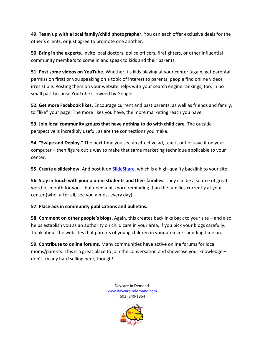**49. Team up with a local family/child photographer.** You can each offer exclusive deals for the other's clients, or just agree to promote one another.

**50. Bring in the experts.** Invite local doctors, police officers, firefighters, or other influential community members to come in and speak to kids and their parents.

**51. Post some videos on YouTube.** Whether it's kids playing at your center (again, get parental permission first) or you speaking on a topic of interest to parents, people find online videos irresistible. Posting them on your website helps with your search engine rankings, too, in no small part because YouTube is owned by Google.

**52. Get more Facebook likes.** Encourage current and past parents, as well as friends and family, to "like" your page. The more likes you have, the more marketing reach you have.

**53. Join local community groups that have nothing to do with child care**. The outside perspective is incredibly useful, as are the connections you make.

**54. "Swipe and Deploy."** The next time you see an effective ad, tear it out or save it on your computer – then figure out a way to make that same marketing technique applicable to your center.

**55. Create a slideshow.** And post it on [SlideShare,](http://www.slideshare.net/) which is a high-quality backlink to your site.

**56. Stay in touch with your alumni students and their families.** They can be a source of great word-of-mouth for you – but need a bit more reminding than the families currently at your center (who, after all, see you almost every day).

#### **57. Place ads in community publications and bulletins.**

**58. Comment on other people's blogs.** Again, this creates backlinks back to your site – and also helps establish you as an authority on child care in your area, if you pick your blogs carefully. Think about the websites that parents of young children in your area are spending time on.

**59. Contribute to online forums.** Many communities have active online forums for local moms/parents. This is a great place to join the conversation and showcase your knowledge – don't try any hard selling here, though!

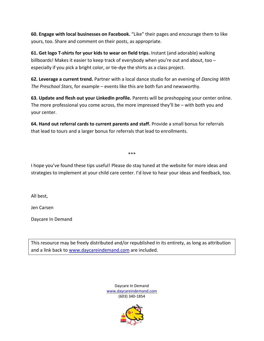**60. Engage with local businesses on Facebook.** "Like" their pages and encourage them to like yours, too. Share and comment on their posts, as appropriate.

**61. Get logo T-shirts for your kids to wear on field trips.** Instant (and adorable) walking billboards! Makes it easier to keep track of everybody when you're out and about, too – especially if you pick a bright color, or tie-dye the shirts as a class project.

**62. Leverage a current trend.** Partner with a local dance studio for an evening of *Dancing With The Preschool Stars*, for example – events like this are both fun and newsworthy.

**63. Update and flesh out your LinkedIn profile.** Parents will be preshopping your center online. The more professional you come across, the more impressed they'll be – with both you and your center.

**64. Hand out referral cards to current parents and staff.** Provide a small bonus for referrals that lead to tours and a larger bonus for referrals that lead to enrollments.

\*\*\*

I hope you've found these tips useful! Please do stay tuned at the website for more ideas and strategies to implement at your child care center. I'd love to hear your ideas and feedback, too.

All best,

Jen Carsen

Daycare In Demand

This resource may be freely distributed and/or republished in its entirety, as long as attribution and a link back to [www.daycareindemand.com](http://www.daycareindemand.com/) are included.